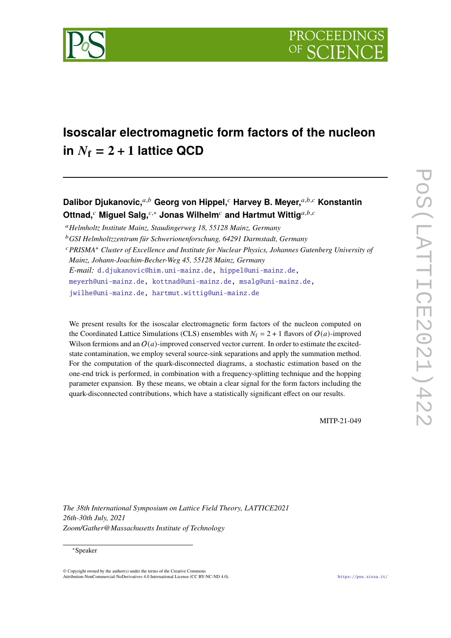

# **Isoscalar electromagnetic form factors of the nucleon**  $i \mathbf{n}$   $N_f = 2 + 1$  **lattice QCD**

**Dalibor Djukanovic,**<sup>a,b</sup> Georg von Hippel,<sup>c</sup> Harvey B. Meyer,<sup>a,b,c</sup> Konstantin **Ottnad,<sup>***c***</sup> Miguel Salg,<sup>***c***,∗</sup> Jonas Wilhelm<sup>***c***</sup> and Hartmut Wittig<sup>***a,b,c***</sup>** 

*Helmholtz Institute Mainz, Staudingerweg 18, 55128 Mainz, Germany*

*E-mail:* [d.djukanovic@him.uni-mainz.de,](mailto:d.djukanovic@him.uni-mainz.de) [hippel@uni-mainz.de,](mailto:hippel@uni-mainz.de)

[meyerh@uni-mainz.de,](mailto:meyerh@uni-mainz.de) [kottnad@uni-mainz.de,](mailto:kottnad@uni-mainz.de) [msalg@uni-mainz.de,](mailto:msalg@uni-mainz.de)

[jwilhe@uni-mainz.de,](mailto:jwilhe@uni-mainz.de) [hartmut.wittig@uni-mainz.de](mailto:hartmut.wittig@uni-mainz.de)

We present results for the isoscalar electromagnetic form factors of the nucleon computed on the Coordinated Lattice Simulations (CLS) ensembles with  $N_f = 2 + 1$  flavors of  $O(a)$ -improved Wilson fermions and an  $O(a)$ -improved conserved vector current. In order to estimate the excitedstate contamination, we employ several source-sink separations and apply the summation method. For the computation of the quark-disconnected diagrams, a stochastic estimation based on the one-end trick is performed, in combination with a frequency-splitting technique and the hopping parameter expansion. By these means, we obtain a clear signal for the form factors including the quark-disconnected contributions, which have a statistically significant effect on our results.

MITP-21-049

*The 38th International Symposium on Lattice Field Theory, LATTICE2021 26th-30th July, 2021 Zoom/Gather@Massachusetts Institute of Technology*

## ∗Speaker

© Copyright owned by the author(s) under the terms of the Creative Commons Attribution-NonCommercial-NoDerivatives 4.0 International License (CC BY-NC-ND 4.0). <https://pos.sissa.it/>

*GSI Helmholtzzentrum für Schwerionenforschung, 64291 Darmstadt, Germany*

*PRISMA*<sup>+</sup> *Cluster of Excellence and Institute for Nuclear Physics, Johannes Gutenberg University of*

*Mainz, Johann-Joachim-Becher-Weg 45, 55128 Mainz, Germany*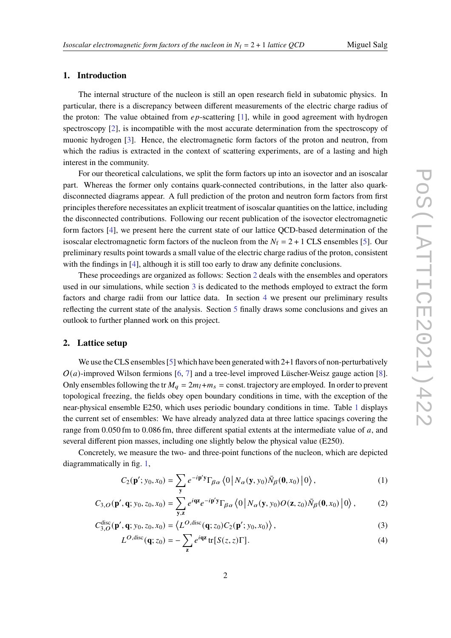# **1. Introduction**

The internal structure of the nucleon is still an open research field in subatomic physics. In particular, there is a discrepancy between different measurements of the electric charge radius of the proton: The value obtained from  $ep$ -scattering [\[1\]](#page-7-0), while in good agreement with hydrogen spectroscopy [\[2\]](#page-7-1), is incompatible with the most accurate determination from the spectroscopy of muonic hydrogen [\[3\]](#page-7-2). Hence, the electromagnetic form factors of the proton and neutron, from which the radius is extracted in the context of scattering experiments, are of a lasting and high interest in the community.

For our theoretical calculations, we split the form factors up into an isovector and an isoscalar part. Whereas the former only contains quark-connected contributions, in the latter also quarkdisconnected diagrams appear. A full prediction of the proton and neutron form factors from first principles therefore necessitates an explicit treatment of isoscalar quantities on the lattice, including the disconnected contributions. Following our recent publication of the isovector electromagnetic form factors [\[4\]](#page-7-3), we present here the current state of our lattice QCD-based determination of the isoscalar electromagnetic form factors of the nucleon from the  $N_f = 2 + 1$  CLS ensembles [\[5\]](#page-7-4). Our preliminary results point towards a small value of the electric charge radius of the proton, consistent with the findings in [\[4\]](#page-7-3), although it is still too early to draw any definite conclusions.

These proceedings are organized as follows: Section [2](#page-1-0) deals with the ensembles and operators used in our simulations, while section [3](#page-3-0) is dedicated to the methods employed to extract the form factors and charge radii from our lattice data. In section [4](#page-4-0) we present our preliminary results reflecting the current state of the analysis. Section [5](#page-6-0) finally draws some conclusions and gives an outlook to further planned work on this project.

### <span id="page-1-0"></span>**2. Lattice setup**

We use the CLS ensembles  $[5]$  which have been generated with 2+1 flavors of non-perturbatively  $O(a)$ -improved Wilson fermions [\[6,](#page-7-5) [7\]](#page-7-6) and a tree-level improved Lüscher-Weisz gauge action [\[8\]](#page-8-0). Only ensembles following the tr  $M_a = 2m_l + m_s = \text{const.}$  trajectory are employed. In order to prevent topological freezing, the fields obey open boundary conditions in time, with the exception of the near-physical ensemble E250, which uses periodic boundary conditions in time. Table [1](#page-2-0) displays the current set of ensembles: We have already analyzed data at three lattice spacings covering the range from  $0.050$  fm to  $0.086$  fm, three different spatial extents at the intermediate value of  $a$ , and several different pion masses, including one slightly below the physical value (E250).

Concretely, we measure the two- and three-point functions of the nucleon, which are depicted diagrammatically in fig. [1,](#page-2-1)

<span id="page-1-3"></span>
$$
C_2(\mathbf{p}'; y_0, x_0) = \sum_{\mathbf{y}} e^{-i\mathbf{p}'\mathbf{y}} \Gamma_{\beta\alpha} \left\langle 0 \left| N_{\alpha}(\mathbf{y}, y_0) \bar{N}_{\beta}(\mathbf{0}, x_0) \right| 0 \right\rangle, \tag{1}
$$

$$
C_{3,O}(\mathbf{p}',\mathbf{q};y_0,z_0,x_0)=\sum_{\mathbf{y},\mathbf{z}}e^{i\mathbf{qz}}e^{-i\mathbf{p}'\mathbf{y}}\Gamma_{\beta\alpha}\left\langle 0\left|N_{\alpha}(\mathbf{y},y_0)O(\mathbf{z},z_0)\bar{N}_{\beta}(\mathbf{0},x_0)\right|0\right\rangle,\tag{2}
$$

$$
C_{3,O}^{\text{disc}}(\mathbf{p}', \mathbf{q}; y_0, z_0, x_0) = \left\langle L^{O, \text{disc}}(\mathbf{q}; z_0) C_2(\mathbf{p}'; y_0, x_0) \right\rangle, \tag{3}
$$

<span id="page-1-2"></span><span id="page-1-1"></span>
$$
L^{O,\text{disc}}(\mathbf{q};z_0) = -\sum_{\mathbf{z}} e^{i\mathbf{qz}} \operatorname{tr}[S(z,z)\Gamma]. \tag{4}
$$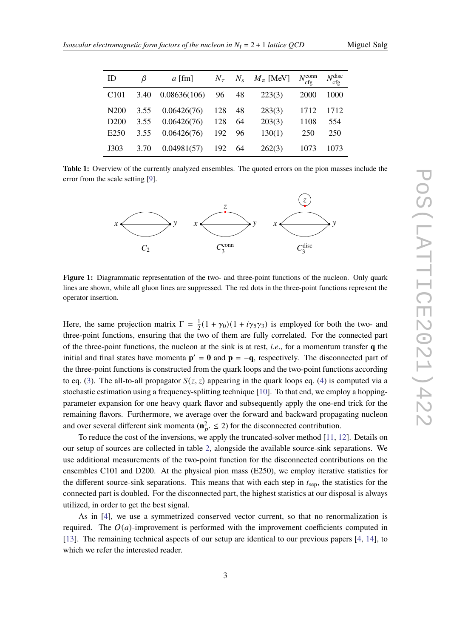<span id="page-2-0"></span>

| ID               | ß    | $a$ [fm]     | $N_{\tau}$ |    | $N_s$ $M_{\pi}$ [MeV] | $N_{\rm cfg}^{\rm conn}$ | $N_{\rm cfg}^{\rm disc}$ |
|------------------|------|--------------|------------|----|-----------------------|--------------------------|--------------------------|
| C <sub>101</sub> | 3.40 | 0.08636(106) | 96         | 48 | 223(3)                | <b>2000</b>              | 1000                     |
| N <sub>200</sub> | 3.55 | 0.06426(76)  | 128        | 48 | 283(3)                | 1712                     | 1712                     |
| D <sub>200</sub> | 3.55 | 0.06426(76)  | 128        | 64 | 203(3)                | 1108                     | 554                      |
| E <sub>250</sub> | 3.55 | 0.06426(76)  | 192        | 96 | 130(1)                | 250                      | 250                      |
| J303             | 3.70 | 0.04981(57)  | 192        | 64 | 262(3)                | 1073                     | 1073                     |

<span id="page-2-1"></span>**Table 1:** Overview of the currently analyzed ensembles. The quoted errors on the pion masses include the error from the scale setting [\[9\]](#page-8-1).



**Figure 1:** Diagrammatic representation of the two- and three-point functions of the nucleon. Only quark lines are shown, while all gluon lines are suppressed. The red dots in the three-point functions represent the operator insertion.

Here, the same projection matrix  $\Gamma = \frac{1}{2}(1 + \gamma_0)(1 + i\gamma_5\gamma_3)$  is employed for both the two- and three-point functions, ensuring that the two of them are fully correlated. For the connected part of the three-point functions, the nucleon at the sink is at rest, *i*.*e*., for a momentum transfer **q** the initial and final states have momenta  $p' = 0$  and  $p = -q$ , respectively. The disconnected part of the three-point functions is constructed from the quark loops and the two-point functions according to eq. [\(3\)](#page-1-1). The all-to-all propagator  $S(z, z)$  appearing in the quark loops eq. [\(4\)](#page-1-2) is computed via a stochastic estimation using a frequency-splitting technique [\[10\]](#page-8-2). To that end, we employ a hoppingparameter expansion for one heavy quark flavor and subsequently apply the one-end trick for the remaining flavors. Furthermore, we average over the forward and backward propagating nucleon and over several different sink momenta ( $n_{p'}^2 \le 2$ ) for the disconnected contribution.

To reduce the cost of the inversions, we apply the truncated-solver method [\[11,](#page-8-3) [12\]](#page-8-4). Details on our setup of sources are collected in table [2,](#page-3-1) alongside the available source-sink separations. We use additional measurements of the two-point function for the disconnected contributions on the ensembles C101 and D200. At the physical pion mass (E250), we employ iterative statistics for the different source-sink separations. This means that with each step in  $t_{\rm sep}$ , the statistics for the connected part is doubled. For the disconnected part, the highest statistics at our disposal is always utilized, in order to get the best signal.

As in [\[4\]](#page-7-3), we use a symmetrized conserved vector current, so that no renormalization is required. The  $O(a)$ -improvement is performed with the improvement coefficients computed in [\[13\]](#page-8-5). The remaining technical aspects of our setup are identical to our previous papers [\[4,](#page-7-3) [14\]](#page-8-6), to which we refer the interested reader.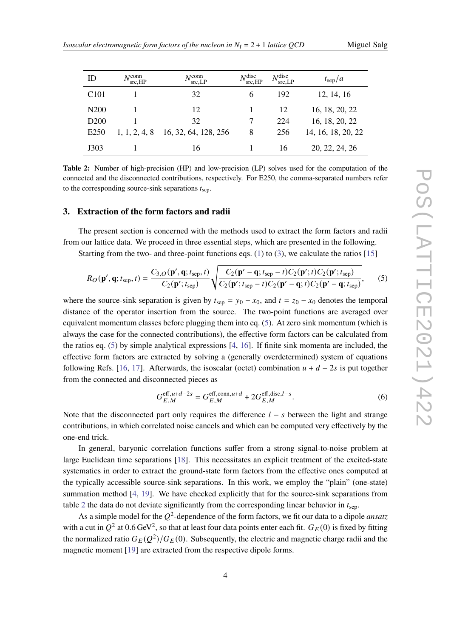<span id="page-3-2"></span>

| Miguel Salg |  |  |
|-------------|--|--|
|-------------|--|--|

<span id="page-3-1"></span>

| ID               | $N^{\text{conn}}$<br>src.HP | $N_{\rm src, LP}^{\rm conn}$ | $N_{\rm src,HP}^{\rm disc}$ | $N_{\rm src, LP}^{\rm disc}$ | $t_{\rm sep}/a$    |
|------------------|-----------------------------|------------------------------|-----------------------------|------------------------------|--------------------|
| C <sub>101</sub> |                             | 32                           | 6                           | 192                          | 12, 14, 16         |
| N <sub>200</sub> |                             | 12                           |                             | 12                           | 16, 18, 20, 22     |
| D <sub>200</sub> |                             | 32                           |                             | 224                          | 16, 18, 20, 22     |
| E <sub>250</sub> | 1, 1, 2, 4, 8               | 16, 32, 64, 128, 256         | 8                           | 256                          | 14, 16, 18, 20, 22 |
| J303             |                             | 16                           |                             | 16                           | 20, 22, 24, 26     |

**Table 2:** Number of high-precision (HP) and low-precision (LP) solves used for the computation of the connected and the disconnected contributions, respectively. For E250, the comma-separated numbers refer to the corresponding source-sink separations  $t_{\text{sep}}$ .

# <span id="page-3-0"></span>**3. Extraction of the form factors and radii**

The present section is concerned with the methods used to extract the form factors and radii from our lattice data. We proceed in three essential steps, which are presented in the following.

Starting from the two- and three-point functions eqs. [\(1\)](#page-1-3) to [\(3\)](#page-1-1), we calculate the ratios  $[15]$ 

$$
R_O(\mathbf{p}', \mathbf{q}; t_{\text{sep}}, t) = \frac{C_{3,O}(\mathbf{p}', \mathbf{q}; t_{\text{sep}}, t)}{C_2(\mathbf{p}'; t_{\text{sep}})} \sqrt{\frac{C_2(\mathbf{p}' - \mathbf{q}; t_{\text{sep}} - t)C_2(\mathbf{p}'; t)C_2(\mathbf{p}'; t_{\text{sep}})}{C_2(\mathbf{p}'; t_{\text{sep}} - t)C_2(\mathbf{p}' - \mathbf{q}; t)C_2(\mathbf{p}' - \mathbf{q}; t_{\text{sep}})}},
$$
(5)

where the source-sink separation is given by  $t_{\text{sep}} = y_0 - x_0$ , and  $t = z_0 - x_0$  denotes the temporal distance of the operator insertion from the source. The two-point functions are averaged over equivalent momentum classes before plugging them into eq. [\(5\)](#page-3-2). At zero sink momentum (which is always the case for the connected contributions), the effective form factors can be calculated from the ratios eq.  $(5)$  by simple analytical expressions  $[4, 16]$  $[4, 16]$  $[4, 16]$ . If finite sink momenta are included, the effective form factors are extracted by solving a (generally overdetermined) system of equations following Refs. [\[16,](#page-8-8) [17\]](#page-8-9). Afterwards, the isoscalar (octet) combination  $u + d - 2s$  is put together from the connected and disconnected pieces as

$$
G_{E,M}^{\text{eff},u+d-2s} = G_{E,M}^{\text{eff},\text{conn},u+d} + 2G_{E,M}^{\text{eff},\text{disc},l-s}.\tag{6}
$$

Note that the disconnected part only requires the difference  $l - s$  between the light and strange contributions, in which correlated noise cancels and which can be computed very effectively by the one-end trick.

In general, baryonic correlation functions suffer from a strong signal-to-noise problem at large Euclidean time separations [\[18\]](#page-8-10). This necessitates an explicit treatment of the excited-state systematics in order to extract the ground-state form factors from the effective ones computed at the typically accessible source-sink separations. In this work, we employ the "plain" (one-state) summation method [\[4,](#page-7-3) [19\]](#page-8-11). We have checked explicitly that for the source-sink separations from table [2](#page-3-1) the data do not deviate significantly from the corresponding linear behavior in  $t_{\text{sen}}$ .

As a simple model for the  $Q^2$ -dependence of the form factors, we fit our data to a dipole *ansatz* with a cut in  $Q^2$  at 0.6 GeV<sup>2</sup>, so that at least four data points enter each fit.  $G_E(0)$  is fixed by fitting the normalized ratio  $G_E(Q^2)/G_E(0)$ . Subsequently, the electric and magnetic charge radii and the magnetic moment [\[19\]](#page-8-11) are extracted from the respective dipole forms.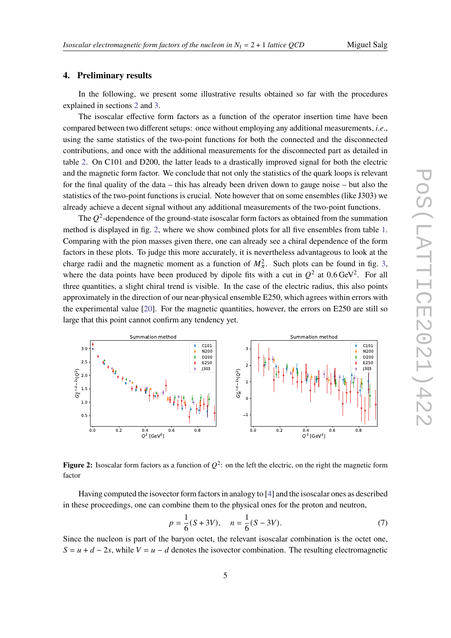# <span id="page-4-0"></span>**4. Preliminary results**

In the following, we present some illustrative results obtained so far with the procedures explained in sections [2](#page-1-0) and [3.](#page-3-0)

The isoscalar effective form factors as a function of the operator insertion time have been compared between two different setups: once without employing any additional measurements, *i*.*e*., using the same statistics of the two-point functions for both the connected and the disconnected contributions, and once with the additional measurements for the disconnected part as detailed in table [2.](#page-3-1) On C101 and D200, the latter leads to a drastically improved signal for both the electric and the magnetic form factor. We conclude that not only the statistics of the quark loops is relevant for the final quality of the data – this has already been driven down to gauge noise – but also the statistics of the two-point functions is crucial. Note however that on some ensembles (like J303) we already achieve a decent signal without any additional measurements of the two-point functions.

The  $O^2$ -dependence of the ground-state isoscalar form factors as obtained from the summation method is displayed in fig. [2,](#page-4-1) where we show combined plots for all five ensembles from table [1.](#page-2-0) Comparing with the pion masses given there, one can already see a chiral dependence of the form factors in these plots. To judge this more accurately, it is nevertheless advantageous to look at the charge radii and the magnetic moment as a function of  $M_\pi^2$ . Such plots can be found in fig. [3,](#page-5-0) where the data points have been produced by dipole fits with a cut in  $O^2$  at 0.6 GeV<sup>2</sup>. For all three quantities, a slight chiral trend is visible. In the case of the electric radius, this also points approximately in the direction of our near-physical ensemble E250, which agrees within errors with the experimental value [\[20\]](#page-8-12). For the magnetic quantities, however, the errors on E250 are still so large that this point cannot confirm any tendency yet.

<span id="page-4-1"></span>

**Figure 2:** Isoscalar form factors as a function of  $Q^2$ : on the left the electric, on the right the magnetic form factor

Having computed the isovector form factors in analogy to [\[4\]](#page-7-3) and the isoscalar ones as described in these proceedings, one can combine them to the physical ones for the proton and neutron,

$$
p = \frac{1}{6}(S + 3V), \quad n = \frac{1}{6}(S - 3V). \tag{7}
$$

Since the nucleon is part of the baryon octet, the relevant isoscalar combination is the octet one,  $S = u + d - 2s$ , while  $V = u - d$  denotes the isovector combination. The resulting electromagnetic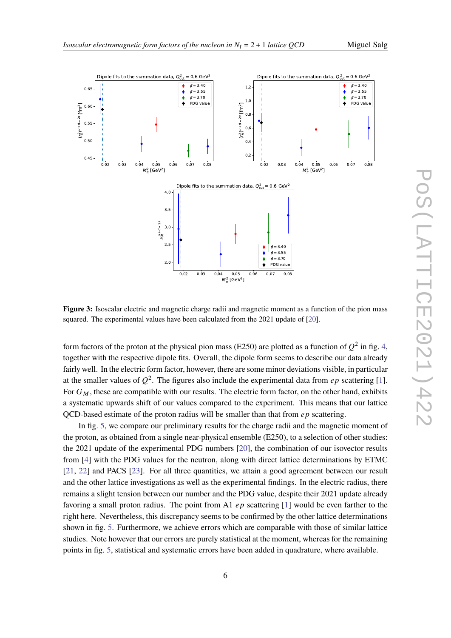

<span id="page-5-0"></span>

**Figure 3:** Isoscalar electric and magnetic charge radii and magnetic moment as a function of the pion mass squared. The experimental values have been calculated from the 2021 update of [\[20\]](#page-8-12).

form factors of the proton at the physical pion mass (E250) are plotted as a function of  $Q^2$  in fig. [4,](#page-6-1) together with the respective dipole fits. Overall, the dipole form seems to describe our data already fairly well. In the electric form factor, however, there are some minor deviations visible, in particular at the smaller values of  $O^2$ . The figures also include the experimental data from *ep* scattering [\[1\]](#page-7-0). For  $G_M$ , these are compatible with our results. The electric form factor, on the other hand, exhibits a systematic upwards shift of our values compared to the experiment. This means that our lattice OCD-based estimate of the proton radius will be smaller than that from  $ep$  scattering.

In fig. [5,](#page-6-2) we compare our preliminary results for the charge radii and the magnetic moment of the proton, as obtained from a single near-physical ensemble (E250), to a selection of other studies: the 2021 update of the experimental PDG numbers [\[20\]](#page-8-12), the combination of our isovector results from [\[4\]](#page-7-3) with the PDG values for the neutron, along with direct lattice determinations by ETMC [\[21,](#page-8-13) [22\]](#page-8-14) and PACS [\[23\]](#page-8-15). For all three quantities, we attain a good agreement between our result and the other lattice investigations as well as the experimental findings. In the electric radius, there remains a slight tension between our number and the PDG value, despite their 2021 update already favoring a small proton radius. The point from A1  $ep$  scattering [\[1\]](#page-7-0) would be even farther to the right here. Nevertheless, this discrepancy seems to be confirmed by the other lattice determinations shown in fig. [5.](#page-6-2) Furthermore, we achieve errors which are comparable with those of similar lattice studies. Note however that our errors are purely statistical at the moment, whereas for the remaining points in fig. [5,](#page-6-2) statistical and systematic errors have been added in quadrature, where available.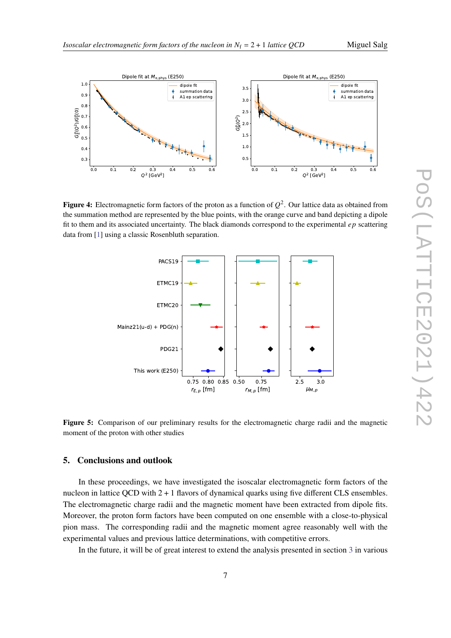

<span id="page-6-1"></span>

<span id="page-6-2"></span>**Figure 4:** Electromagnetic form factors of the proton as a function of  $Q^2$ . Our lattice data as obtained from the summation method are represented by the blue points, with the orange curve and band depicting a dipole fit to them and its associated uncertainty. The black diamonds correspond to the experimental  $ep$  scattering data from [\[1\]](#page-7-0) using a classic Rosenbluth separation.



**Figure 5:** Comparison of our preliminary results for the electromagnetic charge radii and the magnetic moment of the proton with other studies

# <span id="page-6-0"></span>**5. Conclusions and outlook**

In these proceedings, we have investigated the isoscalar electromagnetic form factors of the nucleon in lattice QCD with  $2 + 1$  flavors of dynamical quarks using five different CLS ensembles. The electromagnetic charge radii and the magnetic moment have been extracted from dipole fits. Moreover, the proton form factors have been computed on one ensemble with a close-to-physical pion mass. The corresponding radii and the magnetic moment agree reasonably well with the experimental values and previous lattice determinations, with competitive errors.

In the future, it will be of great interest to extend the analysis presented in section [3](#page-3-0) in various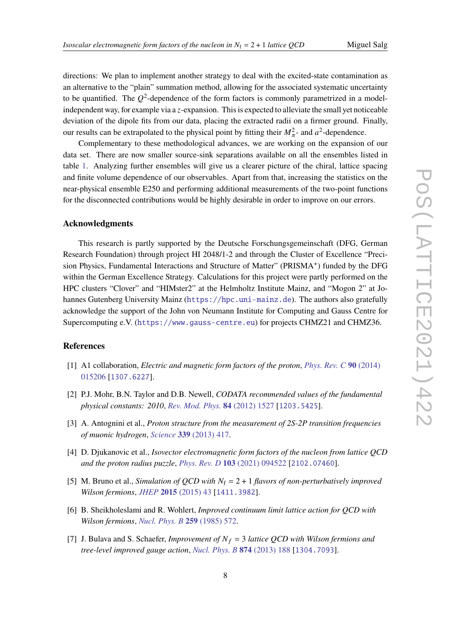directions: We plan to implement another strategy to deal with the excited-state contamination as an alternative to the "plain" summation method, allowing for the associated systematic uncertainty to be quantified. The  $O^2$ -dependence of the form factors is commonly parametrized in a modelindependent way, for example via a  $z$ -expansion. This is expected to alleviate the small yet noticeable deviation of the dipole fits from our data, placing the extracted radii on a firmer ground. Finally, our results can be extrapolated to the physical point by fitting their  $M_{\pi}^2$ - and  $a^2$ -dependence.

Complementary to these methodological advances, we are working on the expansion of our data set. There are now smaller source-sink separations available on all the ensembles listed in table [1.](#page-2-0) Analyzing further ensembles will give us a clearer picture of the chiral, lattice spacing and finite volume dependence of our observables. Apart from that, increasing the statistics on the near-physical ensemble E250 and performing additional measurements of the two-point functions for the disconnected contributions would be highly desirable in order to improve on our errors.

# **Acknowledgments**

This research is partly supported by the Deutsche Forschungsgemeinschaft (DFG, German Research Foundation) through project HI 2048/1-2 and through the Cluster of Excellence "Precision Physics, Fundamental Interactions and Structure of Matter" (PRISMA<sup>+</sup>) funded by the DFG within the German Excellence Strategy. Calculations for this project were partly performed on the HPC clusters "Clover" and "HIMster2" at the Helmholtz Institute Mainz, and "Mogon 2" at Johannes Gutenberg University Mainz (<https://hpc.uni-mainz.de>). The authors also gratefully acknowledge the support of the John von Neumann Institute for Computing and Gauss Centre for Supercomputing e.V. (<https://www.gauss-centre.eu>) for projects CHMZ21 and CHMZ36.

# **References**

- <span id="page-7-0"></span>[1] A1 collaboration, *Electric and magnetic form factors of the proton*, *[Phys. Rev. C](https://doi.org/10.1103/PhysRevC.90.015206)* **90** (2014) [015206](https://doi.org/10.1103/PhysRevC.90.015206) [[1307.6227](https://arxiv.org/abs/1307.6227)].
- <span id="page-7-1"></span>[2] P.J. Mohr, B.N. Taylor and D.B. Newell, *CODATA recommended values of the fundamental physical constants: 2010*, *[Rev. Mod. Phys.](https://doi.org/10.1103/RevModPhys.84.1527)* **84** (2012) 1527 [[1203.5425](https://arxiv.org/abs/1203.5425)].
- <span id="page-7-2"></span>[3] A. Antognini et al., *Proton structure from the measurement of 2S-2P transition frequencies of muonic hydrogen*, *Science* **339** [\(2013\) 417.](https://doi.org/10.1126/science.1230016)
- <span id="page-7-3"></span>[4] D. Djukanovic et al., *Isovector electromagnetic form factors of the nucleon from lattice QCD and the proton radius puzzle*, *[Phys. Rev. D](https://doi.org/10.1103/PhysRevD.103.094522)* **103** (2021) 094522 [[2102.07460](https://arxiv.org/abs/2102.07460)].
- <span id="page-7-4"></span>[5] M. Bruno et al., *Simulation of QCD with*  $N_f = 2 + 1$  *flavors of non-perturbatively improved Wilson fermions*, *JHEP* **2015** [\(2015\) 43](https://doi.org/10.1007/JHEP02(2015)043) [[1411.3982](https://arxiv.org/abs/1411.3982)].
- <span id="page-7-5"></span>[6] B. Sheikholeslami and R. Wohlert, *Improved continuum limit lattice action for QCD with Wilson fermions*, *[Nucl. Phys. B](https://doi.org/10.1016/0550-3213(85)90002-1)* **259** (1985) 572.
- <span id="page-7-6"></span>[7] J. Bulava and S. Schaefer, *Improvement of*  $N_f = 3$  *lattice QCD with Wilson fermions and tree-level improved gauge action*, *[Nucl. Phys. B](https://doi.org/10.1016/j.nuclphysb.2013.05.019)* **874** (2013) 188 [[1304.7093](https://arxiv.org/abs/1304.7093)].